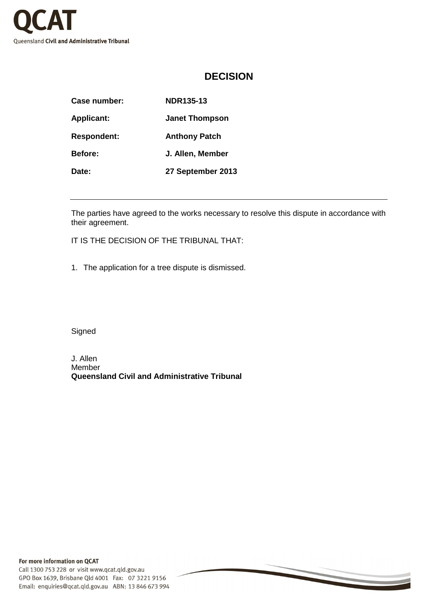

## **DECISION**

| <b>Case number:</b> | <b>NDR135-13</b>      |
|---------------------|-----------------------|
| <b>Applicant:</b>   | <b>Janet Thompson</b> |
| <b>Respondent:</b>  | <b>Anthony Patch</b>  |
| <b>Before:</b>      | J. Allen, Member      |
| Date:               | 27 September 2013     |

The parties have agreed to the works necessary to resolve this dispute in accordance with their agreement.

IT IS THE DECISION OF THE TRIBUNAL THAT:

1. The application for a tree dispute is dismissed.

**Signed** 

J. Allen Member **Queensland Civil and Administrative Tribunal**